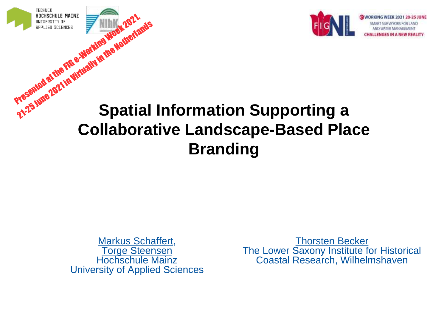

# **Spatial Information Supporting a Collaborative Landscape-Based Place Branding** HOCHSCHULE MAINZ<br>APPLIED SCIENCES<br>APPLIED SCIENCES<br>PYGSGINGI & THIS FIG G-WORKING WEEK 2021, **PRISHER AT THE REAL PRINCIPALITY IN THE NETHERLANDS**

Markus Schaffert, Torge Steensen Hochschule Mainz University of Applied Sciences

Thorsten Becker The Lower Saxony Institute for Historical Coastal Research, Wilhelmshaven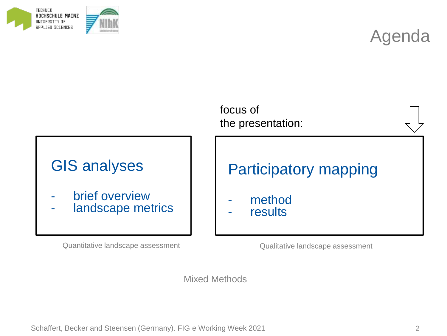



#### focus of the presentation:

#### GIS analyses

- brief overview
- landscape metrics

Quantitative landscape assessment Qualitative landscape assessment

#### Participatory mapping

- method
- results

Mixed Methods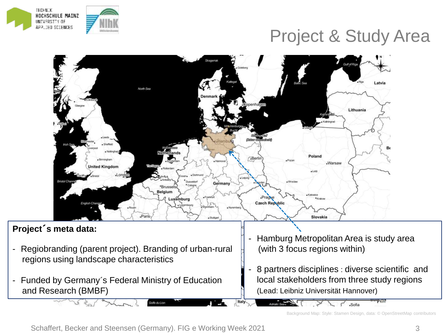

#### Project & Study Area



Italy

- Funded by Germany´s Federal Ministry of Education and Research (BMBF)
- 8 partners disciplines : diverse scientific and local stakeholders from three study regions (Lead: Leibniz Universität Hannover)

Background Map: Style: Stamen Design, data: © OpenStreetMap contributors

Golfe du Lion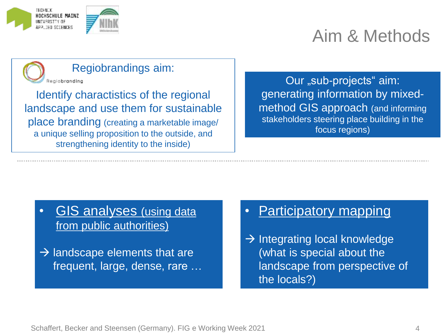

### Aim & Methods



Identify charactistics of the regional landscape and use them for sustainable place branding (creating a marketable image/ a unique selling proposition to the outside, and strengthening identity to the inside)

Our "sub-projects" aim: generating information by mixedmethod GIS approach (and informing stakeholders steering place building in the focus regions)

- GIS analyses (using data from public authorities)
- $\rightarrow$  landscape elements that are frequent, large, dense, rare …
- Participatory mapping
- $\rightarrow$  Integrating local knowledge (what is special about the landscape from perspective of the locals?)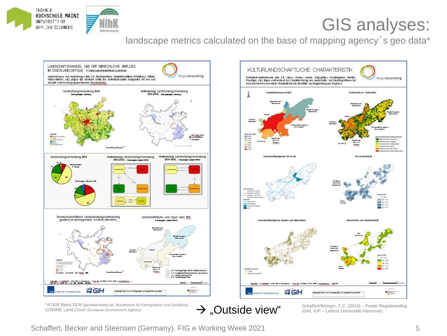

#### GIS analyses:

landscape metrics calculated on the base of mapping agency's geo data\*





\*ATKIS Basis DLM (geodatenbasis.de, Bundesamt für Kartographie und Geodäsie), CORINE Land Cover (European Environment Agency)

Schaffert/Wenger, F.C. (2016) – Poster Regiobranding (GIH, IUP – Leibniz Universität Hannover)

Schaffert, Becker and Steensen (Germany). FIG e Working Week 2021

 $\rightarrow$  . Outside view"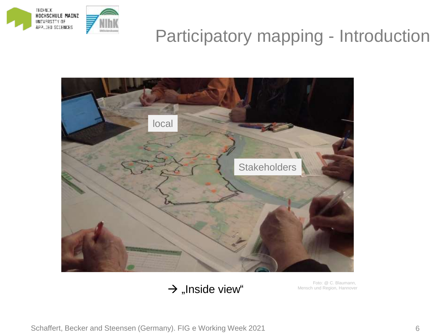

### Participatory mapping - Introduction



 $\rightarrow$  "Inside view"

Foto: @ C. Blaumann, Mensch und Region, Hannover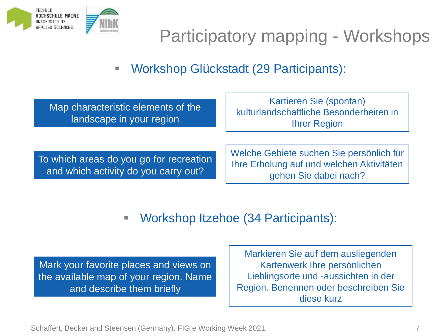

## Participatory mapping - Workshops

▪ Workshop Glückstadt (29 Participants):

Map characteristic elements of the landscape in your region

Kartieren Sie (spontan) kulturlandschaftliche Besonderheiten in Ihrer Region

To which areas do you go for recreation and which activity do you carry out?

Welche Gebiete suchen Sie persönlich für Ihre Erholung auf und welchen Aktivitäten gehen Sie dabei nach?

▪ Workshop Itzehoe (34 Participants):

Mark your favorite places and views on the available map of your region. Name and describe them briefly

Markieren Sie auf dem ausliegenden Kartenwerk Ihre persönlichen Lieblingsorte und -aussichten in der Region. Benennen oder beschreiben Sie diese kurz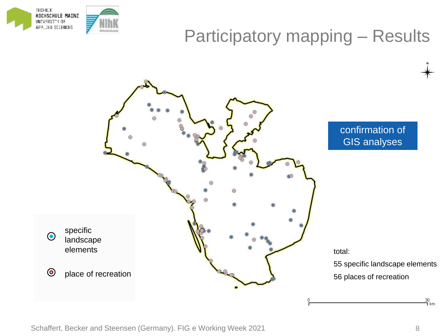



30<br>コ km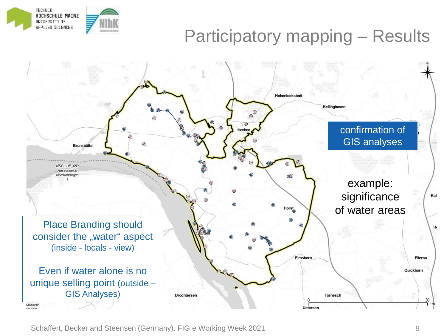

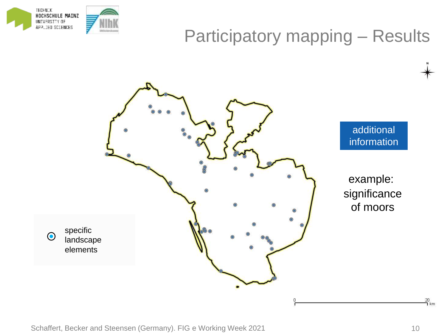



additional information

example: significance of moors

 $\frac{20}{1}$ km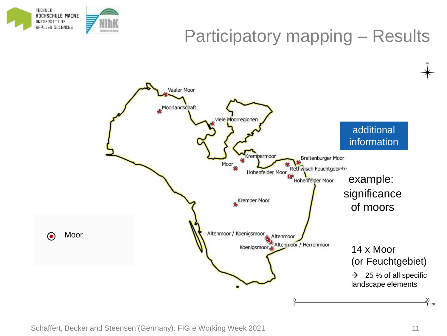

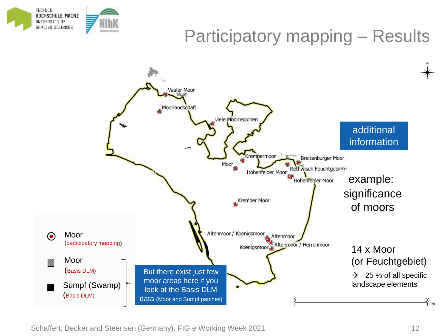

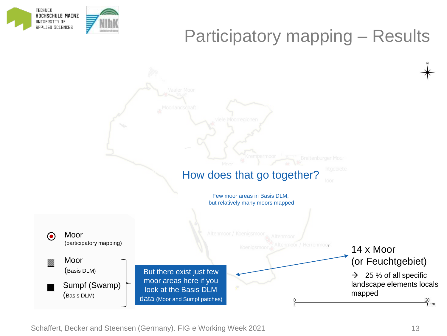

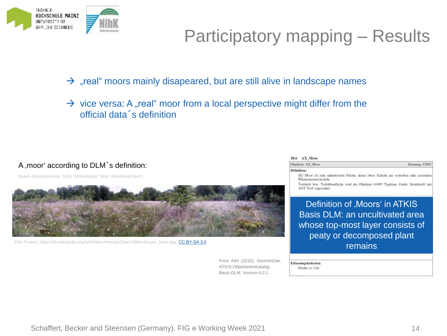

#### $\rightarrow$  "real" moors mainly disapeared, but are still alive in landscape names

 $\rightarrow$  vice versa: A "real" moor from a local perspective might differ from the official data´s definition

#### A , moor' according to DLM<sup>'</sup>s definition:

Basen-Zwischenmoor, NSG Glittenberger Moor (Niedersachsen)



Elke Freese, https://de.wikipedia.org/wiki/Moor#/media/Datei:Glittenberger\_Moor.jpg, [CC BY-SA 3.0](https://creativecommons.org/licenses/by-sa/3.0/)

From AdV (2015): *GeoInfoDok, ATKIS-Objektartenkatalog. Basis-DLM*, Version 6.0.1.

| $20.6$ $AX$ Moor                                                                                                        |                |
|-------------------------------------------------------------------------------------------------------------------------|----------------|
| Objektart: AX Moor                                                                                                      | Kennung: 43005 |
| <b>Definition:</b>                                                                                                      |                |
| [E] 'Moor' ist eine unkultivierte Fläche, deren obere Schicht aus vertorften oder zersetzten<br>Pflanzenresten besteht. |                |
| Torfstich bzw. Torfabbaufläche wird der Objektart 41005 'Tagebau, Grube, Steinbruch' mit<br>AGT Torf zugeordnet.        |                |
| Definition of , Moors' in ATKIS                                                                                         |                |
| <b>Basis DLM: an uncultivated area</b>                                                                                  |                |
| whose top most lover consists of                                                                                        |                |

hose top-most layer consists of peaty or decomposed plant remains

Erfassungskriterien:

Fläche >= 1 ha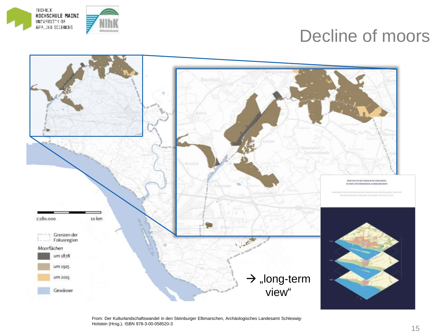

#### Decline of moors



From: Der Kulturlandschaftswandel in den Steinburger Elbmarschen, Archäologisches Landesamt Schleswig-Holstein (Hrsg.), ISBN 978-3-00-058520-3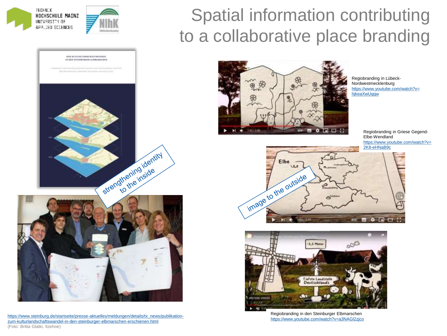

WER RETTING AND RESERVANCES. IN DICK ATTICULATIONS, CLAIMANOUTRON

### Spatial information contributing to a collaborative place branding



Regiobranding in Lübeck-Nordwestmecklenburg [https://www.youtube.com/watch?v=](https://www.youtube.com/watch?v=hjkeaXwUqqw) hjkeaXwUqqw

Regiobranding in Griese Gegend-Elbe-Wendland [https://www.youtube.com/watch?v=](https://www.youtube.com/watch?v=2K8-eHNaB9c) 2K8-eHNaB9c





Regiobranding in den Steinburger Elbmarschen <https://www.youtube.com/watch?v=a3NAGl2zjco>





[https://www.steinburg.de/startseite/presse-aktuelles/meldungen/details/tx\\_news/publikation](https://www.steinburg.de/startseite/presse-aktuelles/meldungen/details/tx_news/publikation-zum-kulturlandschaftswandel-in-den-steinburger-elbmarschen-erschienen.html)zum-kulturlandschaftswandel-in-den-steinburger-elbmarschen-erschienen.html (Foto: Britta Glatki, Itzehoe)